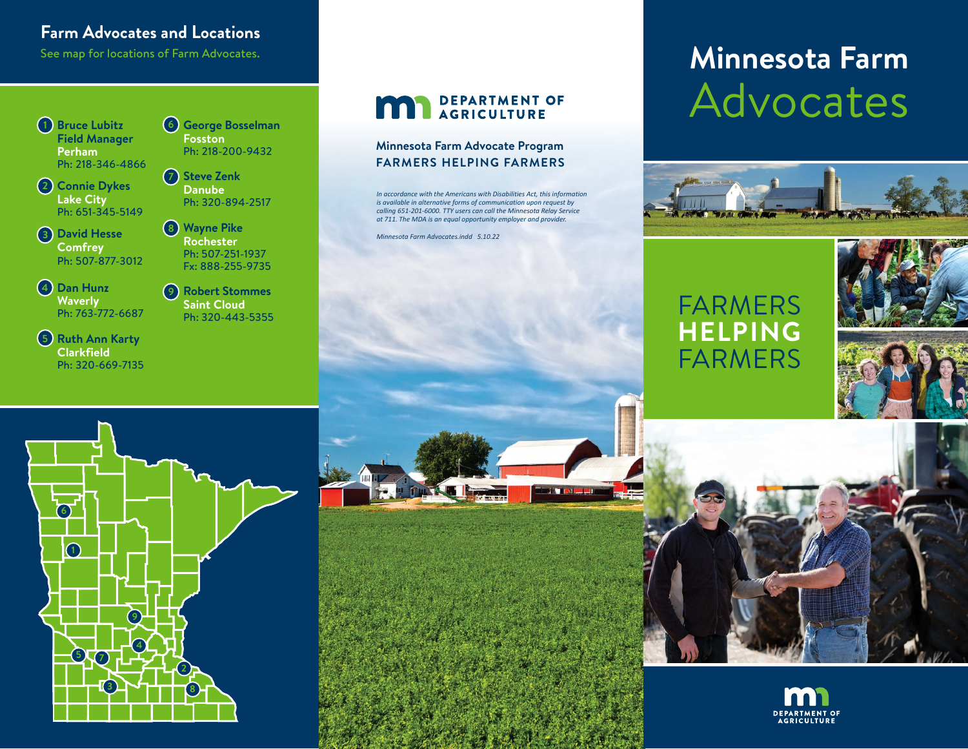# **Farm Advocates and Locations**

**Bruce Lubitz 1 Field Manager Perham** Ph: 218-346-4866

**Connie Dykes 2 Lake City** Ph: 651-345-5149

**David Hesse 3 Comfrey** Ph: 507-877-3012

**Dan Hunz 4 Waverly** Ph: 763-772-6687

**Ruth Ann Karty 5 Clarkfield** Ph: 320-669-7135 **George Bosselman 6 Fosston** Ph: 218-200-9432

**Steve Zenk 7 Danube** Ph: 320-894-2517

**Wayne Pike 8 Rochester** Ph: 507-251-1937 Fx: 888-255-9735

**Robert Stommes 9 Saint Cloud** Ph: 320-443-5355

# **MAN** DEPARTMENT OF

#### **Minnesota Farm Advocate Program FARMERS HELPING FARMERS**

*In accordance with the Americans with Disabilities Act, this information is available in alternative forms of communication upon request by calling 651-201-6000. TTY users can call the Minnesota Relay Service at 711. The MDA is an equal opportunity employer and provider.*

*Minnesota Farm Advocates.indd 5.10.22*

# See map for locations of Farm Advocates. **The superiority of Farm Advocates.** The second of  $\blacksquare$  arm **Minnesota Farm** Advocates



**DEPARTMENT OF AGRICULTURE** 

# FARMERS **HELPING** FARMERS